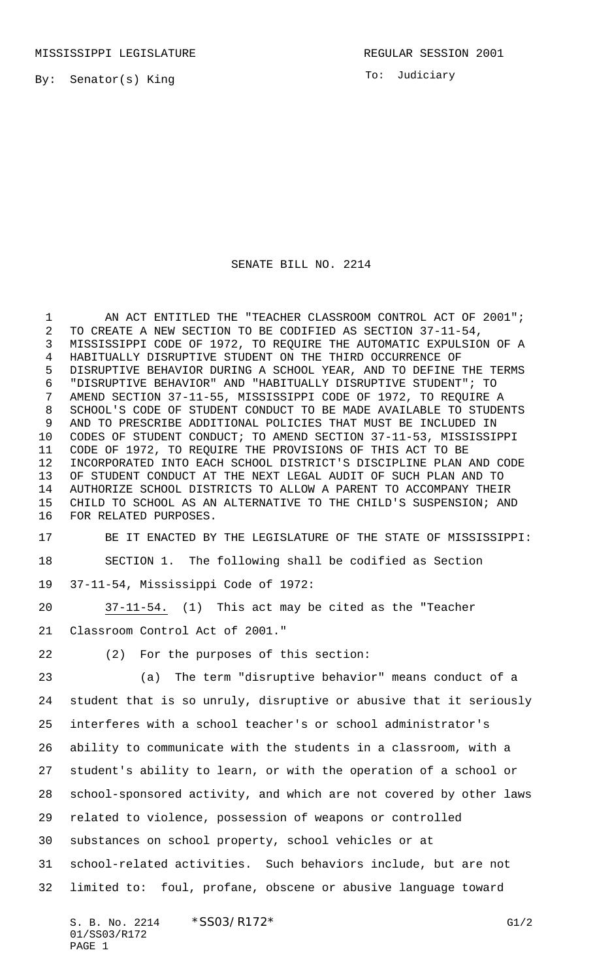MISSISSIPPI LEGISLATURE **REGULAR SESSION 2001** 

By: Senator(s) King

To: Judiciary

## SENATE BILL NO. 2214

1 AN ACT ENTITLED THE "TEACHER CLASSROOM CONTROL ACT OF 2001"; TO CREATE A NEW SECTION TO BE CODIFIED AS SECTION 37-11-54, MISSISSIPPI CODE OF 1972, TO REQUIRE THE AUTOMATIC EXPULSION OF A HABITUALLY DISRUPTIVE STUDENT ON THE THIRD OCCURRENCE OF DISRUPTIVE BEHAVIOR DURING A SCHOOL YEAR, AND TO DEFINE THE TERMS "DISRUPTIVE BEHAVIOR" AND "HABITUALLY DISRUPTIVE STUDENT"; TO AMEND SECTION 37-11-55, MISSISSIPPI CODE OF 1972, TO REQUIRE A SCHOOL'S CODE OF STUDENT CONDUCT TO BE MADE AVAILABLE TO STUDENTS AND TO PRESCRIBE ADDITIONAL POLICIES THAT MUST BE INCLUDED IN CODES OF STUDENT CONDUCT; TO AMEND SECTION 37-11-53, MISSISSIPPI CODE OF 1972, TO REQUIRE THE PROVISIONS OF THIS ACT TO BE INCORPORATED INTO EACH SCHOOL DISTRICT'S DISCIPLINE PLAN AND CODE OF STUDENT CONDUCT AT THE NEXT LEGAL AUDIT OF SUCH PLAN AND TO AUTHORIZE SCHOOL DISTRICTS TO ALLOW A PARENT TO ACCOMPANY THEIR CHILD TO SCHOOL AS AN ALTERNATIVE TO THE CHILD'S SUSPENSION; AND FOR RELATED PURPOSES.

- BE IT ENACTED BY THE LEGISLATURE OF THE STATE OF MISSISSIPPI: SECTION 1. The following shall be codified as Section
- 37-11-54, Mississippi Code of 1972:
- 37-11-54. (1) This act may be cited as the "Teacher
- Classroom Control Act of 2001."
- 

(2) For the purposes of this section:

 (a) The term "disruptive behavior" means conduct of a student that is so unruly, disruptive or abusive that it seriously interferes with a school teacher's or school administrator's ability to communicate with the students in a classroom, with a student's ability to learn, or with the operation of a school or school-sponsored activity, and which are not covered by other laws related to violence, possession of weapons or controlled substances on school property, school vehicles or at school-related activities. Such behaviors include, but are not limited to: foul, profane, obscene or abusive language toward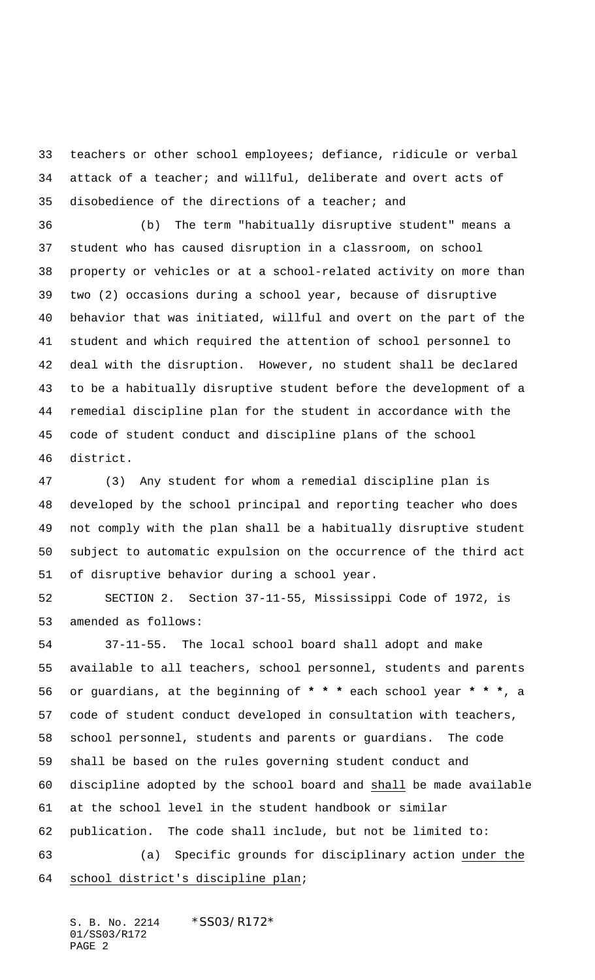teachers or other school employees; defiance, ridicule or verbal attack of a teacher; and willful, deliberate and overt acts of disobedience of the directions of a teacher; and

 (b) The term "habitually disruptive student" means a student who has caused disruption in a classroom, on school property or vehicles or at a school-related activity on more than two (2) occasions during a school year, because of disruptive behavior that was initiated, willful and overt on the part of the student and which required the attention of school personnel to deal with the disruption. However, no student shall be declared to be a habitually disruptive student before the development of a remedial discipline plan for the student in accordance with the code of student conduct and discipline plans of the school district.

 (3) Any student for whom a remedial discipline plan is developed by the school principal and reporting teacher who does not comply with the plan shall be a habitually disruptive student subject to automatic expulsion on the occurrence of the third act of disruptive behavior during a school year.

 SECTION 2. Section 37-11-55, Mississippi Code of 1972, is amended as follows:

 37-11-55. The local school board shall adopt and make available to all teachers, school personnel, students and parents or guardians, at the beginning of **\* \* \*** each school year **\* \* \***, a code of student conduct developed in consultation with teachers, school personnel, students and parents or guardians. The code shall be based on the rules governing student conduct and discipline adopted by the school board and shall be made available at the school level in the student handbook or similar publication. The code shall include, but not be limited to: (a) Specific grounds for disciplinary action under the school district's discipline plan;

S. B. No. 2214 \*SS03/R172\* 01/SS03/R172 PAGE 2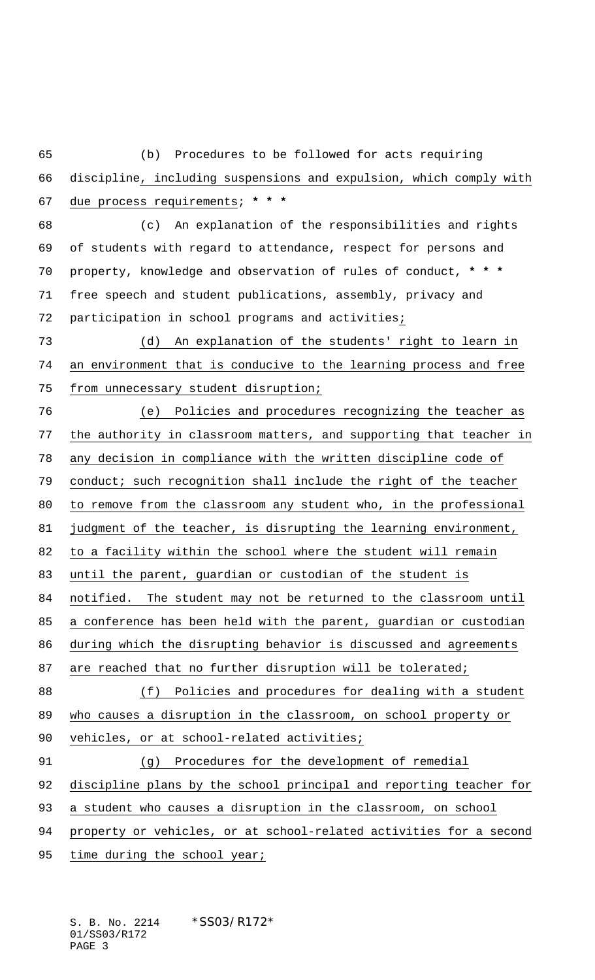(b) Procedures to be followed for acts requiring discipline, including suspensions and expulsion, which comply with due process requirements; **\* \* \*** (c) An explanation of the responsibilities and rights of students with regard to attendance, respect for persons and property, knowledge and observation of rules of conduct, **\* \* \*** free speech and student publications, assembly, privacy and participation in school programs and activities; (d) An explanation of the students' right to learn in an environment that is conducive to the learning process and free from unnecessary student disruption; (e) Policies and procedures recognizing the teacher as the authority in classroom matters, and supporting that teacher in any decision in compliance with the written discipline code of conduct; such recognition shall include the right of the teacher to remove from the classroom any student who, in the professional judgment of the teacher, is disrupting the learning environment, 82 to a facility within the school where the student will remain

until the parent, guardian or custodian of the student is

87 are reached that no further disruption will be tolerated;

notified. The student may not be returned to the classroom until

a conference has been held with the parent, guardian or custodian

during which the disrupting behavior is discussed and agreements

 (f) Policies and procedures for dealing with a student 89 who causes a disruption in the classroom, on school property or

vehicles, or at school-related activities;

 (g) Procedures for the development of remedial discipline plans by the school principal and reporting teacher for a student who causes a disruption in the classroom, on school

property or vehicles, or at school-related activities for a second

95 time during the school year;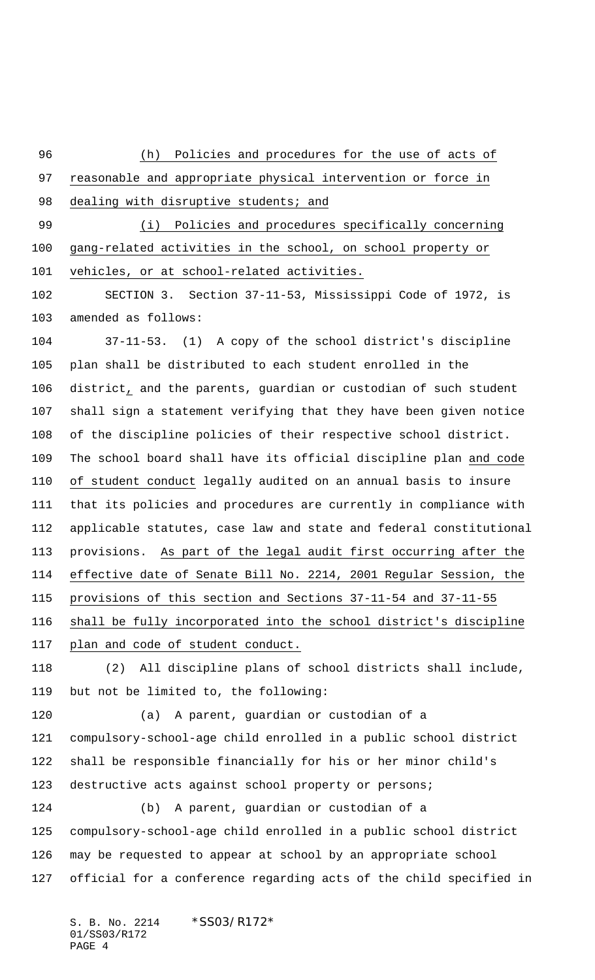(h) Policies and procedures for the use of acts of reasonable and appropriate physical intervention or force in 98 dealing with disruptive students; and 99 (i) Policies and procedures specifically concerning gang-related activities in the school, on school property or vehicles, or at school-related activities. SECTION 3. Section 37-11-53, Mississippi Code of 1972, is amended as follows: 37-11-53. (1) A copy of the school district's discipline plan shall be distributed to each student enrolled in the district, and the parents, guardian or custodian of such student shall sign a statement verifying that they have been given notice of the discipline policies of their respective school district. The school board shall have its official discipline plan and code of student conduct legally audited on an annual basis to insure that its policies and procedures are currently in compliance with applicable statutes, case law and state and federal constitutional provisions. As part of the legal audit first occurring after the effective date of Senate Bill No. 2214, 2001 Regular Session, the provisions of this section and Sections 37-11-54 and 37-11-55 shall be fully incorporated into the school district's discipline plan and code of student conduct. (2) All discipline plans of school districts shall include, but not be limited to, the following: (a) A parent, guardian or custodian of a compulsory-school-age child enrolled in a public school district shall be responsible financially for his or her minor child's 123 destructive acts against school property or persons; (b) A parent, guardian or custodian of a compulsory-school-age child enrolled in a public school district may be requested to appear at school by an appropriate school official for a conference regarding acts of the child specified in

S. B. No. 2214 \* SS03/R172\* 01/SS03/R172 PAGE 4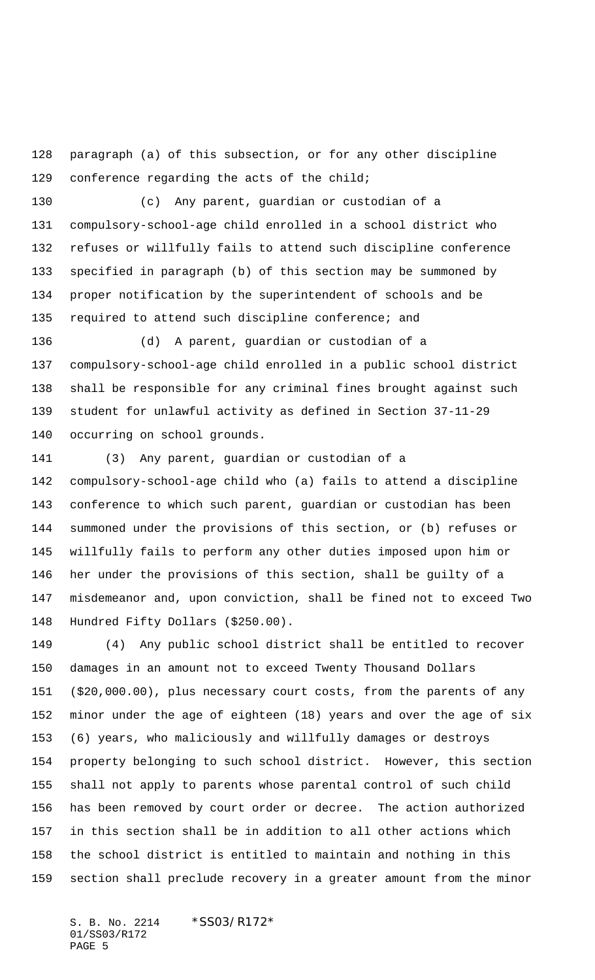paragraph (a) of this subsection, or for any other discipline conference regarding the acts of the child;

 (c) Any parent, guardian or custodian of a compulsory-school-age child enrolled in a school district who refuses or willfully fails to attend such discipline conference specified in paragraph (b) of this section may be summoned by proper notification by the superintendent of schools and be required to attend such discipline conference; and

 (d) A parent, guardian or custodian of a compulsory-school-age child enrolled in a public school district shall be responsible for any criminal fines brought against such student for unlawful activity as defined in Section 37-11-29 occurring on school grounds.

 (3) Any parent, guardian or custodian of a compulsory-school-age child who (a) fails to attend a discipline conference to which such parent, guardian or custodian has been summoned under the provisions of this section, or (b) refuses or willfully fails to perform any other duties imposed upon him or her under the provisions of this section, shall be guilty of a misdemeanor and, upon conviction, shall be fined not to exceed Two Hundred Fifty Dollars (\$250.00).

 (4) Any public school district shall be entitled to recover damages in an amount not to exceed Twenty Thousand Dollars (\$20,000.00), plus necessary court costs, from the parents of any minor under the age of eighteen (18) years and over the age of six (6) years, who maliciously and willfully damages or destroys property belonging to such school district. However, this section shall not apply to parents whose parental control of such child has been removed by court order or decree. The action authorized in this section shall be in addition to all other actions which the school district is entitled to maintain and nothing in this section shall preclude recovery in a greater amount from the minor

S. B. No. 2214 \* SS03/R172\* 01/SS03/R172 PAGE 5